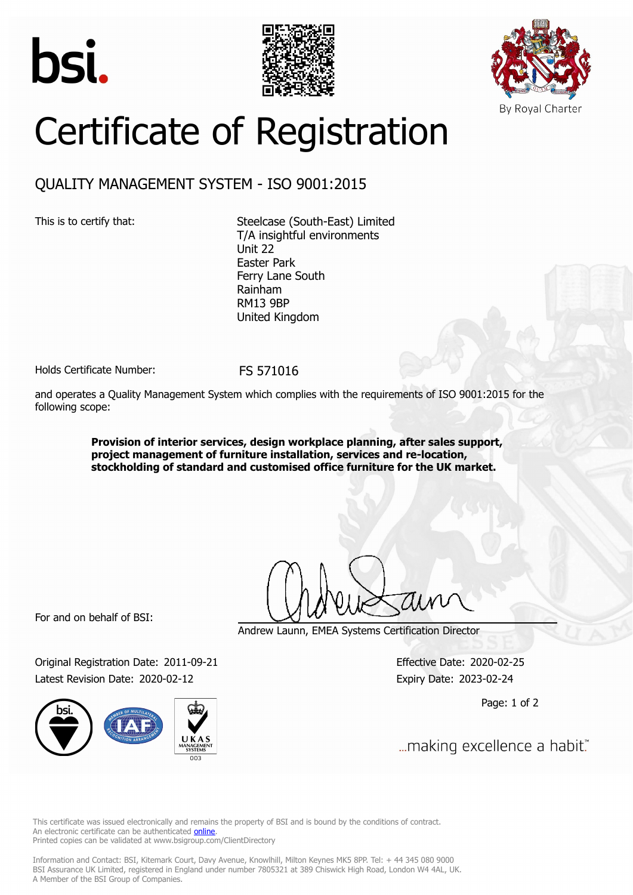





# Certificate of Registration

## QUALITY MANAGEMENT SYSTEM - ISO 9001:2015

This is to certify that: Steelcase (South-East) Limited T/A insightful environments Unit 22 Easter Park Ferry Lane South Rainham RM13 9BP United Kingdom

Holds Certificate Number: FS 571016

and operates a Quality Management System which complies with the requirements of ISO 9001:2015 for the following scope:

> **Provision of interior services, design workplace planning, after sales support, project management of furniture installation, services and re-location, stockholding of standard and customised office furniture for the UK market.**

For and on behalf of BSI:

Original Registration Date: 2011-09-21 Effective Date: 2020-02-25 Latest Revision Date: 2020-02-12 Expiry Date: 2023-02-24



Andrew Launn, EMEA Systems Certification Director

Page: 1 of 2

... making excellence a habit."

This certificate was issued electronically and remains the property of BSI and is bound by the conditions of contract. An electronic certificate can be authenticated **[online](https://pgplus.bsigroup.com/CertificateValidation/CertificateValidator.aspx?CertificateNumber=FS+571016&ReIssueDate=12%2f02%2f2020&Template=uk)**. Printed copies can be validated at www.bsigroup.com/ClientDirectory

Information and Contact: BSI, Kitemark Court, Davy Avenue, Knowlhill, Milton Keynes MK5 8PP. Tel: + 44 345 080 9000 BSI Assurance UK Limited, registered in England under number 7805321 at 389 Chiswick High Road, London W4 4AL, UK. A Member of the BSI Group of Companies.